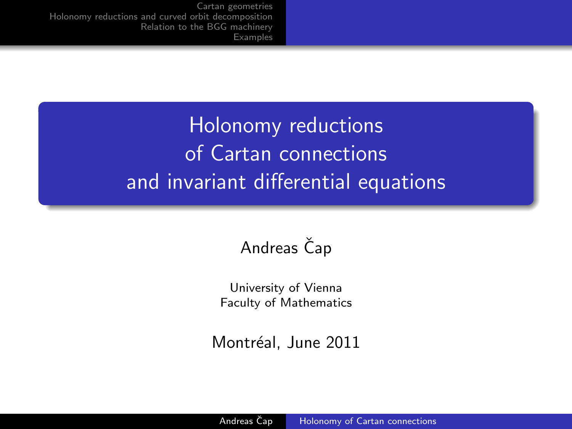> Holonomy reductions of Cartan connections and invariant differential equations

#### Andreas Čap

University of Vienna Faculty of Mathematics

<span id="page-0-0"></span>Montréal, June 2011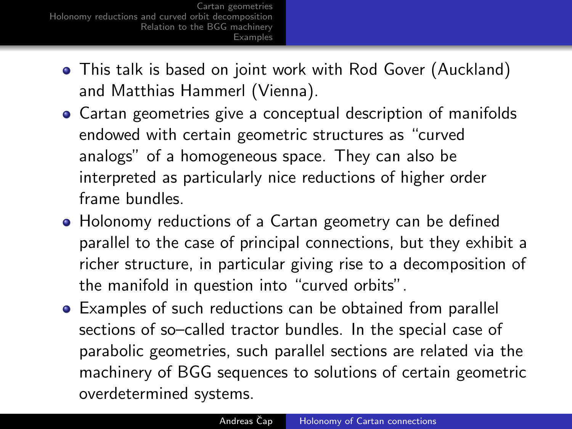- This talk is based on joint work with Rod Gover (Auckland) and Matthias Hammerl (Vienna).
- Cartan geometries give a conceptual description of manifolds endowed with certain geometric structures as "curved analogs" of a homogeneous space. They can also be interpreted as particularly nice reductions of higher order frame bundles.
- Holonomy reductions of a Cartan geometry can be defined parallel to the case of principal connections, but they exhibit a richer structure, in particular giving rise to a decomposition of the manifold in question into "curved orbits".
- Examples of such reductions can be obtained from parallel sections of so–called tractor bundles. In the special case of parabolic geometries, such parallel sections are related via the machinery of BGG sequences to solutions of certain geometric overdetermined systems.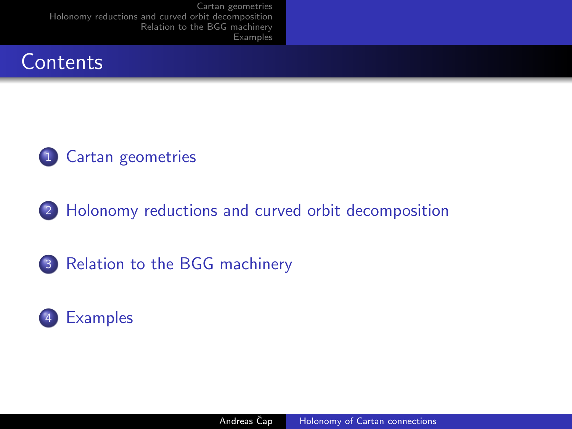



2 [Holonomy reductions and curved orbit decomposition](#page-8-0)

3 [Relation to the BGG machinery](#page-13-0)

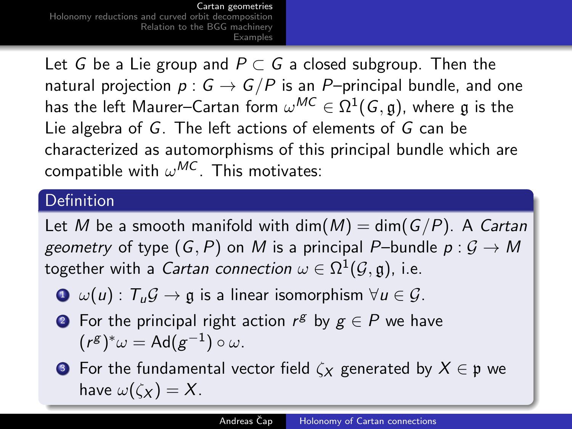Let G be a Lie group and  $P \subset G$  a closed subgroup. Then the natural projection  $p: G \to G/P$  is an P-principal bundle, and one has the left Maurer–Cartan form  $\omega^\mathcal{MC} \in \Omega^1(\mathcal{G},\mathfrak{g}),$  where  $\mathfrak g$  is the Lie algebra of G. The left actions of elements of G can be characterized as automorphisms of this principal bundle which are compatible with  $\omega^\mathsf{MC}$  . This motivates:

#### Definition

Let M be a smooth manifold with dim(M) = dim(G/P). A Cartan geometry of type  $(G, P)$  on M is a principal P–bundle  $p: G \to M$ together with a *Cartan connection*  $\omega \in \Omega^1(\mathcal{G},\mathfrak{g}),$  *i.e.* 

- $\bigcirc$   $\omega(u)$ :  $T_u \mathcal{G} \to \mathfrak{g}$  is a linear isomorphism  $\forall u \in \mathcal{G}$ .
- **2** For the principal right action  $r^{g}$  by  $g \in P$  we have  $(r^{g})^*\omega = \mathsf{Ad}(g^{-1}) \circ \omega.$

<span id="page-3-0"></span>**3** For the fundamental vector field  $\zeta_X$  generated by  $X \in \mathfrak{p}$  we have  $\omega(\zeta_X) = X$ .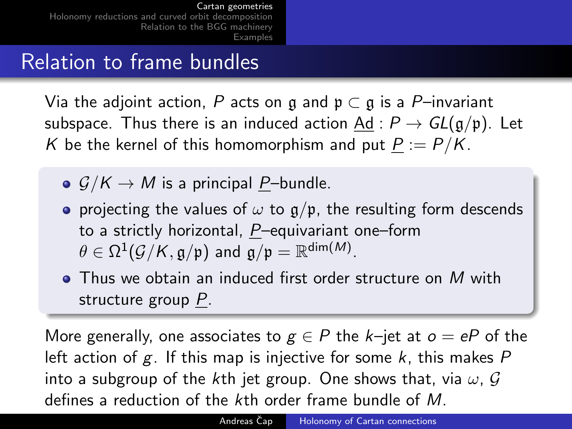[Holonomy reductions and curved orbit decomposition](#page-8-0) [Relation to the BGG machinery](#page-13-0) **[Examples](#page-16-0)** 

### Relation to frame bundles

Via the adjoint action, P acts on g and  $\mathfrak{p} \subset \mathfrak{g}$  is a P–invariant subspace. Thus there is an induced action  $Ad : P \to GL(\mathfrak{g}/\mathfrak{p})$ . Let K be the kernel of this homomorphism and put  $P := P/K$ .

- $G/K \to M$  is a principal P-bundle.
- projecting the values of  $\omega$  to  $g/p$ , the resulting form descends to a strictly horizontal, P–equivariant one–form  $\theta \in \Omega^1(\mathcal{G}/K,\mathfrak{g}/\mathfrak{p})$  and  $\mathfrak{g}/\mathfrak{p} = \mathbb{R}^{\dim(M)}.$
- Thus we obtain an induced first order structure on M with structure group P.

More generally, one associates to  $g \in P$  the k–jet at  $o = eP$  of the left action of  $g$ . If this map is injective for some  $k$ , this makes  $P$ into a subgroup of the kth jet group. One shows that, via  $\omega$ , G defines a reduction of the kth order frame bundle of M.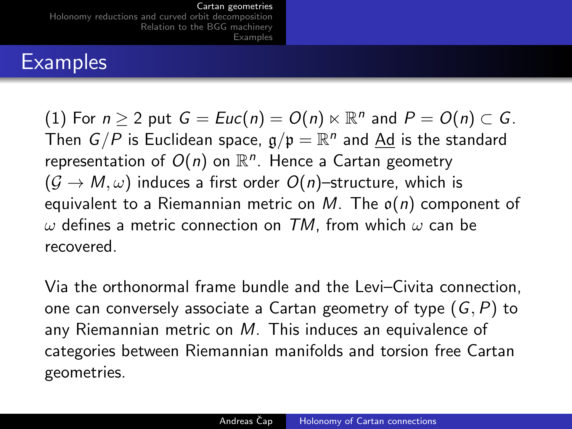[Holonomy reductions and curved orbit decomposition](#page-8-0) [Relation to the BGG machinery](#page-13-0) **[Examples](#page-16-0)** 

# **Examples**

(1) For  $n \ge 2$  put  $G = Euc(n) = O(n) \ltimes \mathbb{R}^n$  and  $P = O(n) \subset G$ . Then  $G/P$  is Euclidean space,  $\mathfrak{g}/\mathfrak{p} = \mathbb{R}^n$  and  $\underline{Ad}$  is the standard representation of  $O(n)$  on  $\mathbb{R}^n$ . Hence a Cartan geometry  $(G \to M, \omega)$  induces a first order  $O(n)$ -structure, which is equivalent to a Riemannian metric on M. The  $o(n)$  component of  $\omega$  defines a metric connection on TM, from which  $\omega$  can be recovered.

Via the orthonormal frame bundle and the Levi–Civita connection, one can conversely associate a Cartan geometry of type  $(G, P)$  to any Riemannian metric on M. This induces an equivalence of categories between Riemannian manifolds and torsion free Cartan geometries.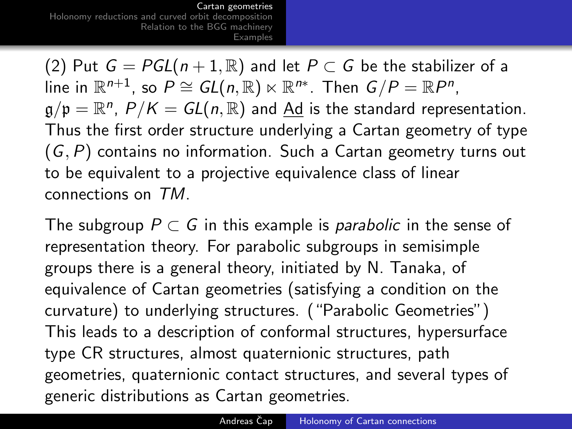[Holonomy reductions and curved orbit decomposition](#page-8-0) [Relation to the BGG machinery](#page-13-0) **[Examples](#page-16-0)** 

(2) Put  $G = PGL(n+1, \mathbb{R})$  and let  $P \subset G$  be the stabilizer of a line in  $\mathbb{R}^{n+1}$ , so  $P \cong GL(n, \mathbb{R}) \ltimes \mathbb{R}^{n*}$ . Then  $G/P = \mathbb{R}P^n$ ,  $\mathfrak{g}/\mathfrak{p}=\mathbb{R}^n$ ,  $P/K=GL(n,\mathbb{R})$  and  $\underline{Ad}$  is the standard representation. Thus the first order structure underlying a Cartan geometry of type  $(G, P)$  contains no information. Such a Cartan geometry turns out to be equivalent to a projective equivalence class of linear connections on TM.

The subgroup  $P \subset G$  in this example is *parabolic* in the sense of representation theory. For parabolic subgroups in semisimple groups there is a general theory, initiated by N. Tanaka, of equivalence of Cartan geometries (satisfying a condition on the curvature) to underlying structures. ("Parabolic Geometries") This leads to a description of conformal structures, hypersurface type CR structures, almost quaternionic structures, path geometries, quaternionic contact structures, and several types of generic distributions as Cartan geometries.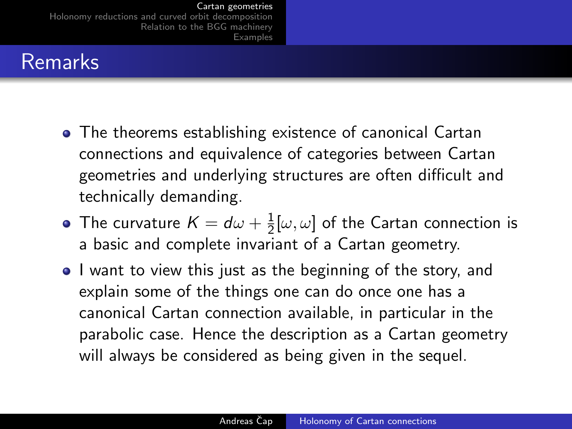[Holonomy reductions and curved orbit decomposition](#page-8-0) [Relation to the BGG machinery](#page-13-0) **[Examples](#page-16-0)** 

# Remarks

- The theorems establishing existence of canonical Cartan connections and equivalence of categories between Cartan geometries and underlying structures are often difficult and technically demanding.
- The curvature  $K=d\omega+\frac{1}{2}$  $\frac{1}{2}[\omega,\omega]$  of the Cartan connection is a basic and complete invariant of a Cartan geometry.
- I want to view this just as the beginning of the story, and explain some of the things one can do once one has a canonical Cartan connection available, in particular in the parabolic case. Hence the description as a Cartan geometry will always be considered as being given in the sequel.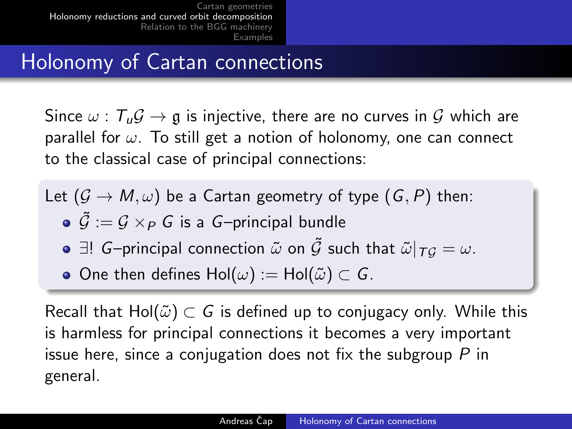# Holonomy of Cartan connections

Since  $\omega$  :  $T_u \mathcal{G} \rightarrow \mathfrak{g}$  is injective, there are no curves in  $\mathcal{G}$  which are parallel for  $\omega$ . To still get a notion of holonomy, one can connect to the classical case of principal connections:

- Let  $(G \to M, \omega)$  be a Cartan geometry of type  $(G, P)$  then:
	- $\mathcal{G} := \mathcal{G} \times_{P} G$  is a G-principal bundle
	- $\bullet$   $\exists$ ! G-principal connection  $\tilde{\omega}$  on  $\tilde{\mathcal{G}}$  such that  $\tilde{\omega}|_{T\mathcal{G}} = \omega$ .
	- One then defines  $Hol(\omega) := Hol(\tilde{\omega}) \subset G$ .

<span id="page-8-0"></span>Recall that Hol( $\tilde{\omega}$ )  $\subset$  G is defined up to conjugacy only. While this is harmless for principal connections it becomes a very important issue here, since a conjugation does not fix the subgroup  $P$  in general.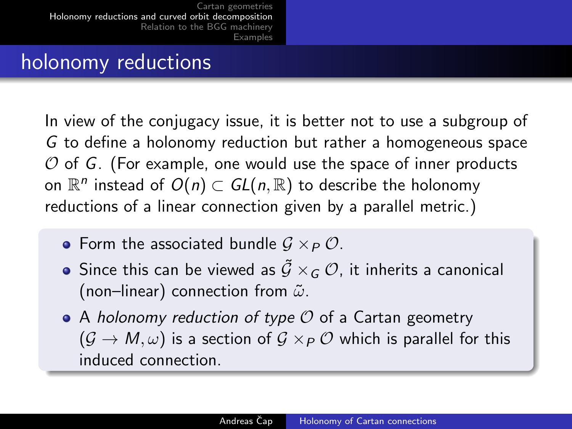## holonomy reductions

In view of the conjugacy issue, it is better not to use a subgroup of G to define a holonomy reduction but rather a homogeneous space  $\mathcal O$  of G. (For example, one would use the space of inner products on  $\mathbb{R}^n$  instead of  $O(n)\subset GL(n,\mathbb{R})$  to describe the holonomy reductions of a linear connection given by a parallel metric.)

- Form the associated bundle  $G \times_{P} O$ .
- Since this can be viewed as  $\tilde{\mathcal{G}}\times_{\mathcal{G}}\mathcal{O}$ , it inherits a canonical (non–linear) connection from  $\tilde{\omega}$ .
- A holonomy reduction of type  $\mathcal O$  of a Cartan geometry  $(G \to M, \omega)$  is a section of  $G \times_{P} O$  which is parallel for this induced connection.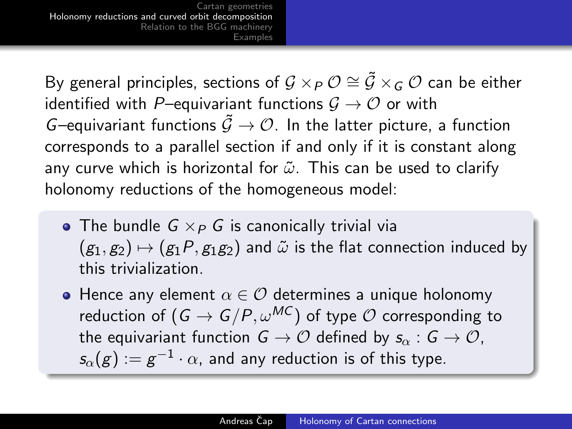By general principles, sections of  $\mathcal{G}\times_P \mathcal{O} \cong \tilde{\mathcal{G}}\times_G \mathcal{O}$  can be either identified with P–equivariant functions  $G \rightarrow \mathcal{O}$  or with G–equivariant functions  $\tilde{\mathcal{G}} \to \mathcal{O}$ . In the latter picture, a function corresponds to a parallel section if and only if it is constant along any curve which is horizontal for  $\tilde{\omega}$ . This can be used to clarify holonomy reductions of the homogeneous model:

- The bundle  $G \times_{P} G$  is canonically trivial via  $(g_1, g_2) \mapsto (g_1P, g_1g_2)$  and  $\tilde{\omega}$  is the flat connection induced by this trivialization.
- Hence any element  $\alpha \in \mathcal{O}$  determines a unique holonomy reduction of  $(G \to G/P, \omega^{MC})$  of type  $\mathcal O$  corresponding to the equivariant function  $G \to \mathcal{O}$  defined by  $s_{\alpha}: G \to \mathcal{O}$ ,  $\mathsf{s}_\alpha(\mathsf{g}) := \mathsf{g}^{-1} \cdot \alpha$ , and any reduction is of this type.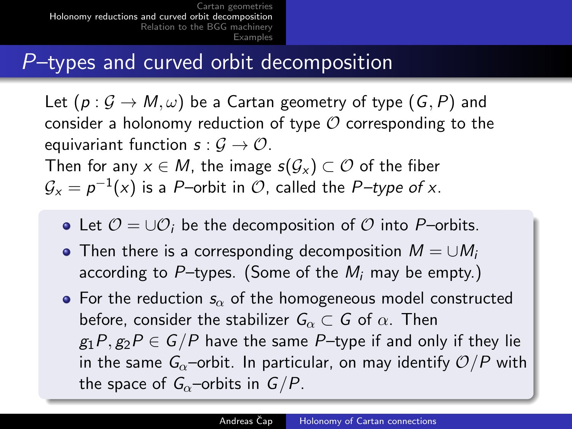### P-types and curved orbit decomposition

Let  $(p: \mathcal{G} \to M, \omega)$  be a Cartan geometry of type  $(G, P)$  and consider a holonomy reduction of type  $\mathcal O$  corresponding to the equivariant function  $s : \mathcal{G} \to \mathcal{O}$ . Then for any  $x \in M$ , the image  $s(G_x) \subset O$  of the fiber  $\mathcal{G}_\mathsf{x}=\rho^{-1}(\mathsf{x})$  is a P–orbit in  $\mathcal O$ , called the P–type of  $\mathsf{x}.$ 

- Let  $\mathcal{O} = \cup \mathcal{O}_i$  be the decomposition of  $\mathcal O$  into P–orbits.
- Then there is a corresponding decomposition  $M = \cup M_i$ according to P-types. (Some of the  $M_i$  may be empty.)
- For the reduction  $s_{\alpha}$  of the homogeneous model constructed before, consider the stabilizer  $G_{\alpha} \subset G$  of  $\alpha$ . Then  $g_1P, g_2P \in G/P$  have the same P-type if and only if they lie in the same  $G_0$ -orbit. In particular, on may identify  $O/P$  with the space of  $G_{\alpha}$ –orbits in  $G/P$ .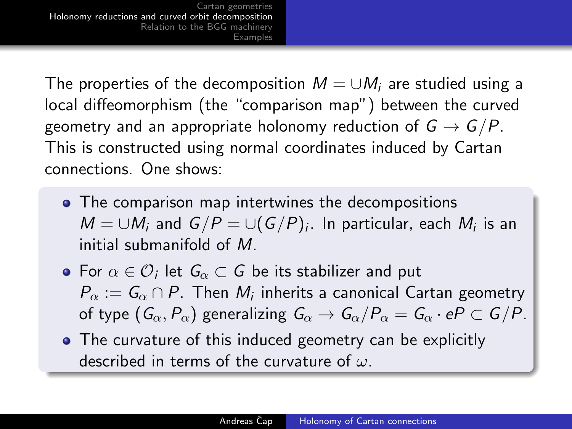The properties of the decomposition  $M = \cup M_i$  are studied using a local diffeomorphism (the "comparison map") between the curved geometry and an appropriate holonomy reduction of  $G \rightarrow G/P$ . This is constructed using normal coordinates induced by Cartan connections. One shows:

- The comparison map intertwines the decompositions  $M=\cup M_i$  and  $G/P=\cup (G/P)_i.$  In particular, each  $M_i$  is an initial submanifold of M.
- For  $\alpha\in\mathcal{O}_i$  let  $\mathsf{G}_\alpha\subset\mathsf{G}$  be its stabilizer and put  $P_\alpha:=G_\alpha\cap P.$  Then  $M_i$  inherits a canonical Cartan geometry of type  $(G_{\alpha}, P_{\alpha})$  generalizing  $G_{\alpha} \to G_{\alpha}/P_{\alpha} = G_{\alpha} \cdot eP \subset G/P$ .
- The curvature of this induced geometry can be explicitly described in terms of the curvature of  $\omega$ .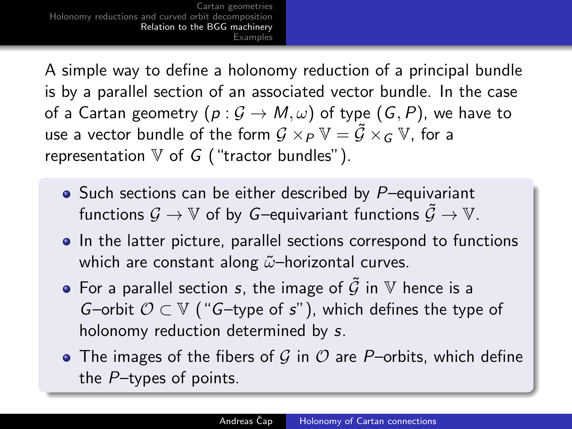A simple way to define a holonomy reduction of a principal bundle is by a parallel section of an associated vector bundle. In the case of a Cartan geometry  $(p: \mathcal{G} \to M, \omega)$  of type  $(G, P)$ , we have to use a vector bundle of the form  $\mathcal{G}\times_P\mathbb{V}=\tilde{\mathcal{G}}\times_G\mathbb{V}$ , for a representation  $V$  of  $G$  ("tractor bundles").

- $\bullet$  Such sections can be either described by P-equivariant functions  $\mathcal{G} \to \mathbb{V}$  of by G-equivariant functions  $\tilde{\mathcal{G}} \to \mathbb{V}$ .
- In the latter picture, parallel sections correspond to functions which are constant along  $\tilde{\omega}$ -horizontal curves.
- For a parallel section s, the image of  $\tilde{G}$  in W hence is a G–orbit  $\mathcal{O} \subset V$  ("G–type of s"), which defines the type of holonomy reduction determined by s.
- <span id="page-13-0"></span>• The images of the fibers of G in  $\mathcal O$  are P-orbits, which define the P–types of points.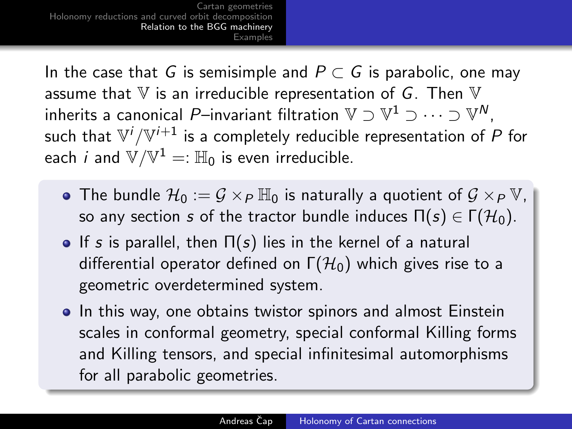In the case that G is semisimple and  $P \subset G$  is parabolic, one may assume that  $V$  is an irreducible representation of G. Then  $V$ inherits a canonical  $P-$ invariant filtration  $\mathbb{V} \supset \mathbb{V}^1 \supset \cdots \supset \mathbb{V}^N$ , such that  $\mathbb{V}^i/\mathbb{V}^{i+1}$  is a completely reducible representation of  $P$  for each  $i$  and  $\mathbb{V}/\mathbb{V}^{1}=:\mathbb{H}_{0}$  is even irreducible.

- The bundle  $\mathcal{H}_0 := \mathcal{G} \times_{\mathcal{P}} \mathbb{H}_0$  is naturally a quotient of  $\mathcal{G} \times_{\mathcal{P}} \mathbb{V}$ , so any section s of the tractor bundle induces  $\Pi(s) \in \Gamma(\mathcal{H}_0)$ .
- If s is parallel, then  $\Pi(s)$  lies in the kernel of a natural differential operator defined on  $\Gamma(\mathcal{H}_0)$  which gives rise to a geometric overdetermined system.
- In this way, one obtains twistor spinors and almost Einstein scales in conformal geometry, special conformal Killing forms and Killing tensors, and special infinitesimal automorphisms for all parabolic geometries.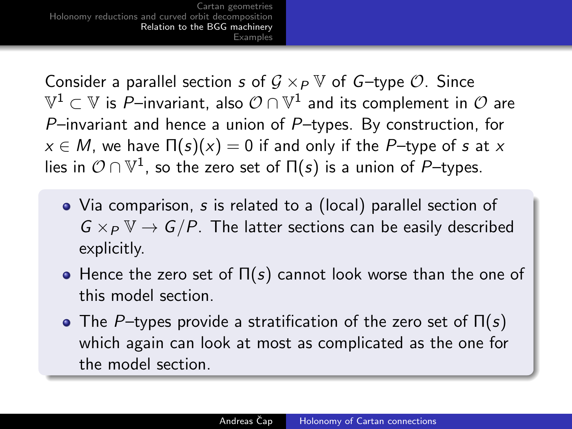Consider a parallel section s of  $G \times_P \mathbb{V}$  of G-type  $\mathcal{O}$ . Since  $\mathbb{V}^1\subset \mathbb{V}$  is  $P-$ invariant, also  $\mathcal{O}\cap\mathbb{V}^1$  and its complement in  $\mathcal O$  are P–invariant and hence a union of  $P$ –types. By construction, for  $x \in M$ , we have  $\Pi(s)(x) = 0$  if and only if the P-type of s at x lies in  $\mathcal{O}\cap \mathbb{V}^1$ , so the zero set of  $\Pi(s)$  is a union of  $P-$ types.

- Via comparison, s is related to a (local) parallel section of  $G \times_{P} \mathbb{V} \rightarrow G/P$ . The latter sections can be easily described explicitly.
- Hence the zero set of  $\Pi(s)$  cannot look worse than the one of this model section.
- The P–types provide a stratification of the zero set of  $\Pi(s)$ which again can look at most as complicated as the one for the model section.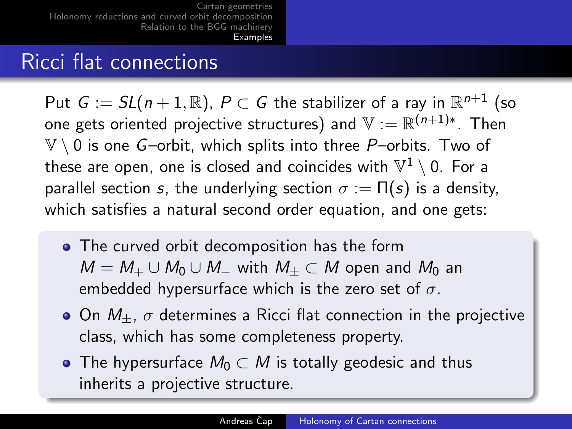## Ricci flat connections

Put  $G:=SL(n+1,\mathbb{R}),\ P\subset G$  the stabilizer of a ray in  $\mathbb{R}^{n+1}$  (so one gets oriented projective structures) and  $\mathbb{V}:=\mathbb{R}^{(n+1)*}.$  Then  $\mathbb{V} \setminus 0$  is one G-orbit, which splits into three P-orbits. Two of these are open, one is closed and coincides with  $\mathbb{V}^1\setminus 0.$  For a parallel section s, the underlying section  $\sigma := \Pi(s)$  is a density, which satisfies a natural second order equation, and one gets:

- The curved orbit decomposition has the form  $M = M_+ \cup M_0 \cup M_-$  with  $M_\pm \subset M$  open and  $M_0$  an embedded hypersurface which is the zero set of  $\sigma$ .
- $\bullet$  On  $M_+$ ,  $\sigma$  determines a Ricci flat connection in the projective class, which has some completeness property.
- <span id="page-16-0"></span>• The hypersurface  $M_0 \subset M$  is totally geodesic and thus inherits a projective structure.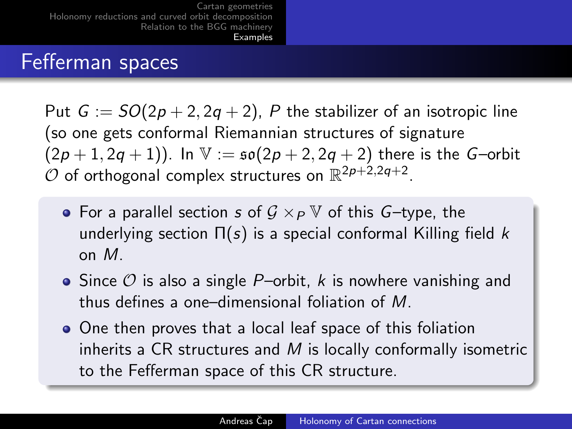### Fefferman spaces

Put  $G := SO(2p + 2, 2q + 2)$ , P the stabilizer of an isotropic line (so one gets conformal Riemannian structures of signature  $(2p + 1, 2q + 1)$ ). In  $V := \mathfrak{so}(2p + 2, 2q + 2)$  there is the G-orbit  $O$  of orthogonal complex structures on  $\mathbb{R}^{2p+2,2q+2}$ .

- For a parallel section s of  $G \times_P \mathbb{V}$  of this G-type, the underlying section  $\Pi(s)$  is a special conformal Killing field k on M.
- Since  $\mathcal O$  is also a single P-orbit, k is nowhere vanishing and thus defines a one–dimensional foliation of M.
- One then proves that a local leaf space of this foliation inherits a CR structures and  $M$  is locally conformally isometric to the Fefferman space of this CR structure.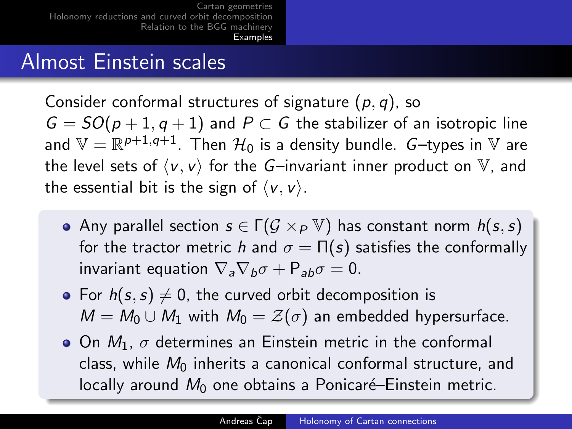### Almost Einstein scales

Consider conformal structures of signature  $(p, q)$ , so  $G = SO(p+1, q+1)$  and  $P \subset G$  the stabilizer of an isotropic line and  $\mathbb{V}=\mathbb{R}^{p+1,q+1}.$  Then  $\mathcal{H}_0$  is a density bundle.  $\mathcal{G}-$ types in  $\mathbb {V}$  are the level sets of  $\langle v, v \rangle$  for the G–invariant inner product on V, and

the essential bit is the sign of  $\langle v, v \rangle$ .

- Any parallel section  $s \in \Gamma(G \times_P \mathbb{V})$  has constant norm  $h(s,s)$ for the tractor metric h and  $\sigma = \Pi(s)$  satisfies the conformally invariant equation  $\nabla_{a}\nabla_{b}\sigma + P_{ab}\sigma = 0$ .
- For  $h(s,s) \neq 0$ , the curved orbit decomposition is  $M = M_0 \cup M_1$  with  $M_0 = \mathcal{Z}(\sigma)$  an embedded hypersurface.
- On  $M_1$ ,  $\sigma$  determines an Einstein metric in the conformal class, while  $M_0$  inherits a canonical conformal structure, and locally around  $M_0$  one obtains a Ponicaré–Einstein metric.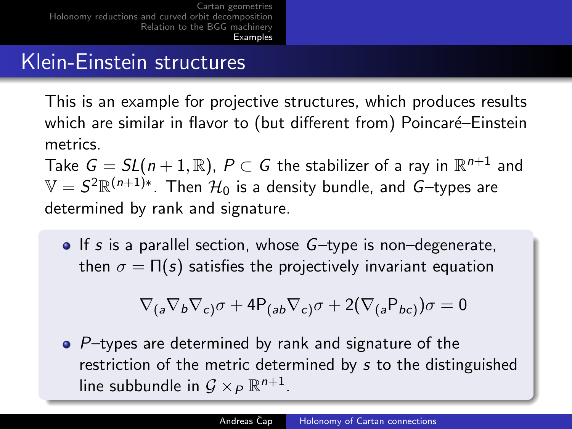## Klein-Einstein structures

This is an example for projective structures, which produces results which are similar in flavor to (but different from) Poincaré–Einstein metrics.

Take  $G = SL(n+1,\mathbb{R}),\ P\subset G$  the stabilizer of a ray in  $\mathbb{R}^{n+1}$  and  $\mathbb{V} = \mathcal{S}^2 \mathbb{R}^{(n+1)*}$ . Then  $\mathcal{H}_0$  is a density bundle, and  $\mathcal{G}\text{-types}$  are determined by rank and signature.

 $\bullet$  If s is a parallel section, whose  $G$ -type is non-degenerate, then  $\sigma = \Pi(s)$  satisfies the projectively invariant equation

$$
\nabla_{(a}\nabla_b\nabla_{c)}\sigma + 4P_{(ab}\nabla_{c)}\sigma + 2(\nabla_{(a}P_{bc)})\sigma = 0
$$

 $\bullet$  P–types are determined by rank and signature of the restriction of the metric determined by s to the distinguished line subbundle in  $\mathcal{G}\times_P \mathbb{R}^{n+1}$ .